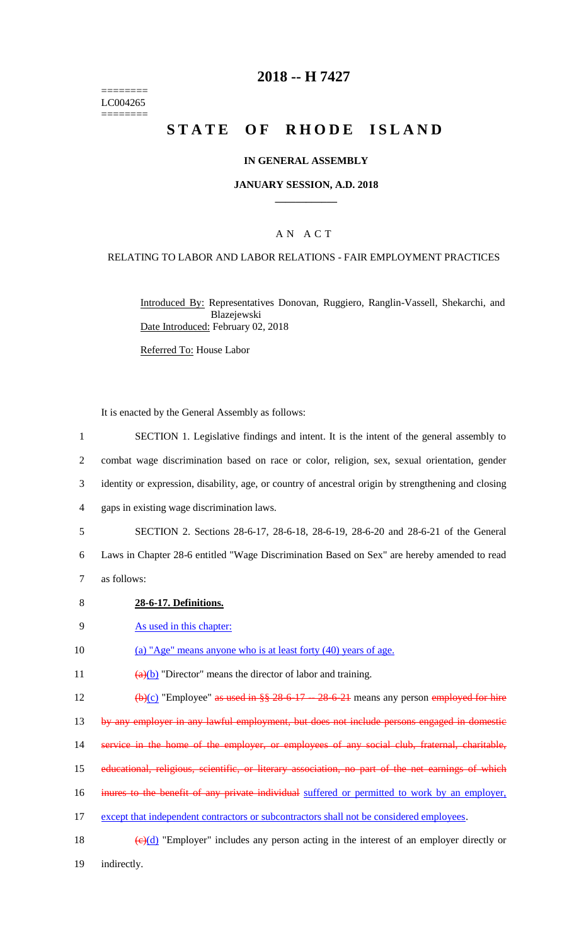======== LC004265 ========

## **2018 -- H 7427**

# **STATE OF RHODE ISLAND**

#### **IN GENERAL ASSEMBLY**

#### **JANUARY SESSION, A.D. 2018 \_\_\_\_\_\_\_\_\_\_\_\_**

### A N A C T

#### RELATING TO LABOR AND LABOR RELATIONS - FAIR EMPLOYMENT PRACTICES

Introduced By: Representatives Donovan, Ruggiero, Ranglin-Vassell, Shekarchi, and Blazejewski Date Introduced: February 02, 2018

Referred To: House Labor

It is enacted by the General Assembly as follows:

 SECTION 1. Legislative findings and intent. It is the intent of the general assembly to combat wage discrimination based on race or color, religion, sex, sexual orientation, gender identity or expression, disability, age, or country of ancestral origin by strengthening and closing gaps in existing wage discrimination laws.

5 SECTION 2. Sections 28-6-17, 28-6-18, 28-6-19, 28-6-20 and 28-6-21 of the General

6 Laws in Chapter 28-6 entitled "Wage Discrimination Based on Sex" are hereby amended to read 7 as follows:

- 8 **28-6-17. Definitions.**
- 9 As used in this chapter:
- 10 (a) "Age" means anyone who is at least forty (40) years of age.

11  $\frac{(a)(b)}{b}$  "Director" means the director of labor and training.

12  $(b)(c)$  "Employee" as used in §§ 28-6-17 -- 28-6-21 means any person employed for hire

13 by any employer in any lawful employment, but does not include persons engaged in domestic

14 service in the home of the employer, or employees of any social club, fraternal, charitable,

- 15 educational, religious, scientific, or literary association, no part of the net earnings of which
- 16 inures to the benefit of any private individual suffered or permitted to work by an employer,

17 except that independent contractors or subcontractors shall not be considered employees.

18  $\left(\frac{e}{d}\right)$  "Employer" includes any person acting in the interest of an employer directly or 19 indirectly.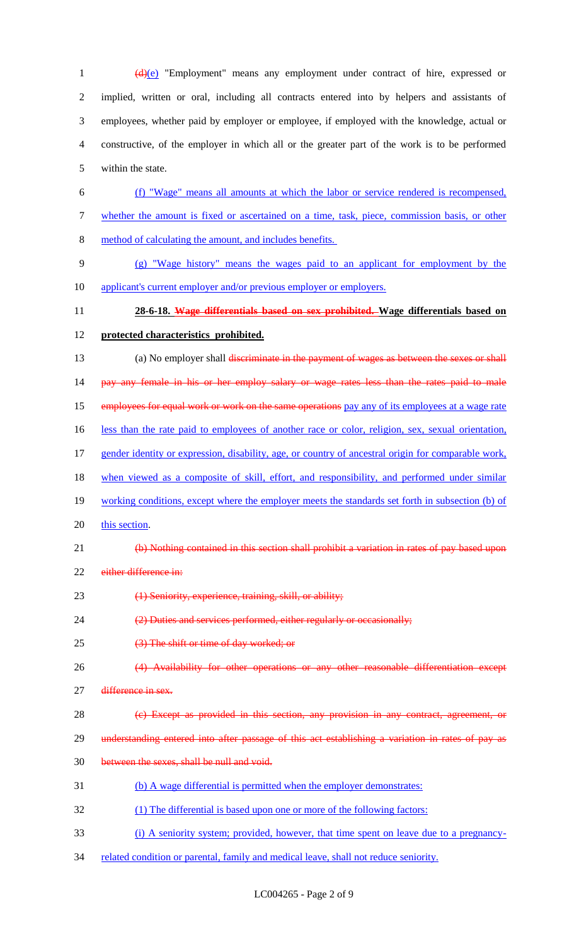1 (d)(e) "Employment" means any employment under contract of hire, expressed or implied, written or oral, including all contracts entered into by helpers and assistants of employees, whether paid by employer or employee, if employed with the knowledge, actual or constructive, of the employer in which all or the greater part of the work is to be performed within the state.

- (f) "Wage" means all amounts at which the labor or service rendered is recompensed, whether the amount is fixed or ascertained on a time, task, piece, commission basis, or other method of calculating the amount, and includes benefits.
- (g) "Wage history" means the wages paid to an applicant for employment by the 10 applicant's current employer and/or previous employer or employers.
- **28-6-18. Wage differentials based on sex prohibited. Wage differentials based on**
- **protected characteristics prohibited.**
- 13 (a) No employer shall discriminate in the payment of wages as between the sexes or shall 14 pay any female in his or her employ salary or wage rates less than the rates paid to male 15 employees for equal work or work on the same operations pay any of its employees at a wage rate 16 less than the rate paid to employees of another race or color, religion, sex, sexual orientation, gender identity or expression, disability, age, or country of ancestral origin for comparable work, 18 when viewed as a composite of skill, effort, and responsibility, and performed under similar
- 
- working conditions, except where the employer meets the standards set forth in subsection (b) of
- 20 this section.
- (b) Nothing contained in this section shall prohibit a variation in rates of pay based upon
- 22 either difference in:
- (1) Seniority, experience, training, skill, or ability;
- (2) Duties and services performed, either regularly or occasionally;
- (3) The shift or time of day worked; or
- (4) Availability for other operations or any other reasonable differentiation except
- 27 <del>difference in sex.</del>
- (c) Except as provided in this section, any provision in any contract, agreement, or
- 29 understanding entered into after passage of this act establishing a variation in rates of pay as
- between the sexes, shall be null and void.
- (b) A wage differential is permitted when the employer demonstrates:
- (1) The differential is based upon one or more of the following factors:
- (i) A seniority system; provided, however, that time spent on leave due to a pregnancy-
- 34 related condition or parental, family and medical leave, shall not reduce seniority.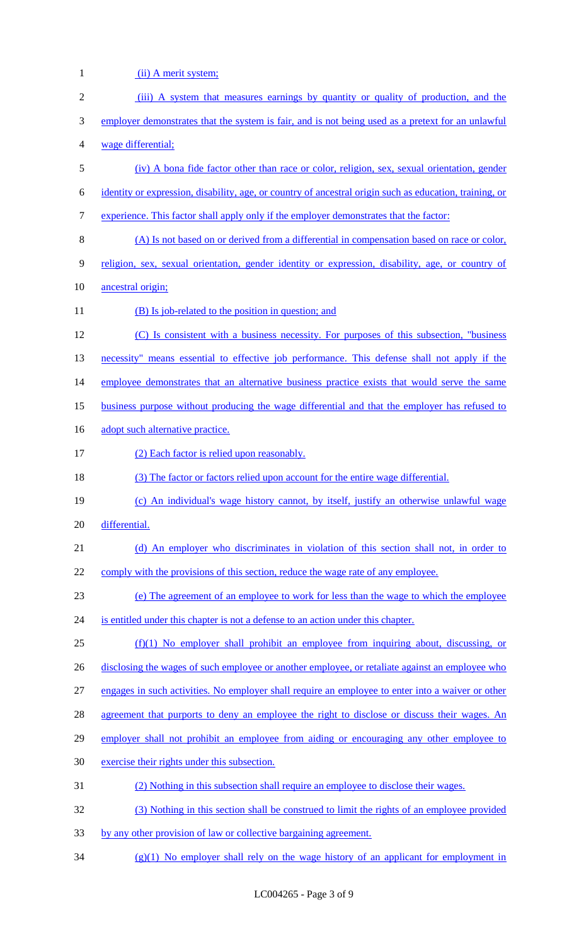| $\mathbf{1}$     | (ii) A merit system;                                                                                    |
|------------------|---------------------------------------------------------------------------------------------------------|
| $\sqrt{2}$       | (iii) A system that measures earnings by quantity or quality of production, and the                     |
| 3                | employer demonstrates that the system is fair, and is not being used as a pretext for an unlawful       |
| 4                | wage differential;                                                                                      |
| 5                | (iv) A bona fide factor other than race or color, religion, sex, sexual orientation, gender             |
| 6                | identity or expression, disability, age, or country of ancestral origin such as education, training, or |
| $\boldsymbol{7}$ | experience. This factor shall apply only if the employer demonstrates that the factor:                  |
| $8\,$            | (A) Is not based on or derived from a differential in compensation based on race or color,              |
| 9                | religion, sex, sexual orientation, gender identity or expression, disability, age, or country of        |
| 10               | ancestral origin;                                                                                       |
| 11               | (B) Is job-related to the position in question; and                                                     |
| 12               | (C) Is consistent with a business necessity. For purposes of this subsection, "business"                |
| 13               | necessity" means essential to effective job performance. This defense shall not apply if the            |
| 14               | employee demonstrates that an alternative business practice exists that would serve the same            |
| 15               | business purpose without producing the wage differential and that the employer has refused to           |
| 16               | adopt such alternative practice.                                                                        |
| 17               | (2) Each factor is relied upon reasonably.                                                              |
| 18               | (3) The factor or factors relied upon account for the entire wage differential.                         |
| 19               | (c) An individual's wage history cannot, by itself, justify an otherwise unlawful wage                  |
| 20               | differential.                                                                                           |
| 21               | (d) An employer who discriminates in violation of this section shall not, in order to                   |
| 22               | comply with the provisions of this section, reduce the wage rate of any employee.                       |
| 23               | (e) The agreement of an employee to work for less than the wage to which the employee                   |
| 24               | is entitled under this chapter is not a defense to an action under this chapter.                        |
| 25               | $(f)(1)$ No employer shall prohibit an employee from inquiring about, discussing, or                    |
| 26               | disclosing the wages of such employee or another employee, or retaliate against an employee who         |
| 27               | engages in such activities. No employer shall require an employee to enter into a waiver or other       |
| 28               | agreement that purports to deny an employee the right to disclose or discuss their wages. An            |
| 29               | employer shall not prohibit an employee from aiding or encouraging any other employee to                |
| 30               | exercise their rights under this subsection.                                                            |
| 31               | (2) Nothing in this subsection shall require an employee to disclose their wages.                       |
| 32               | (3) Nothing in this section shall be construed to limit the rights of an employee provided              |
| 33               | by any other provision of law or collective bargaining agreement.                                       |
| 34               | $(g)(1)$ No employer shall rely on the wage history of an applicant for employment in                   |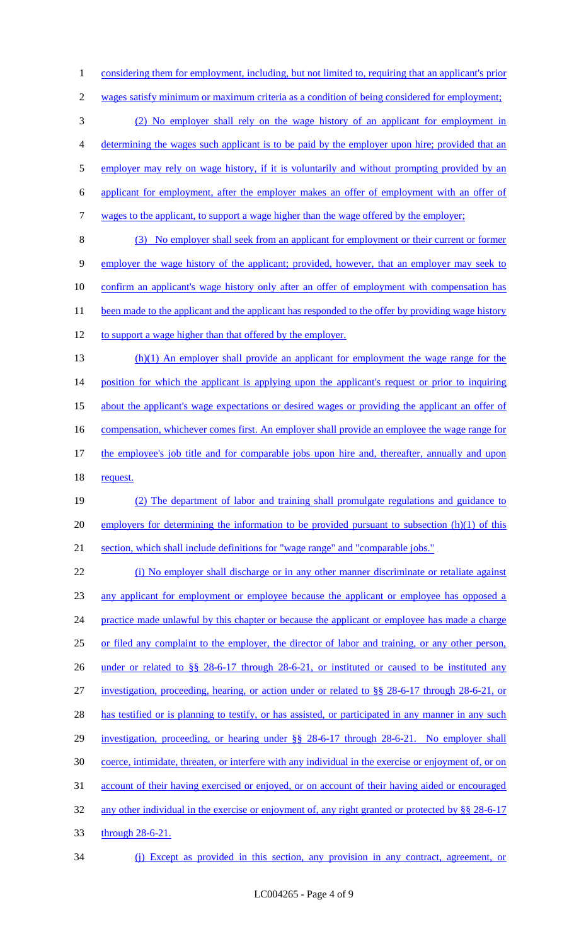1 considering them for employment, including, but not limited to, requiring that an applicant's prior wages satisfy minimum or maximum criteria as a condition of being considered for employment; (2) No employer shall rely on the wage history of an applicant for employment in determining the wages such applicant is to be paid by the employer upon hire; provided that an 5 employer may rely on wage history, if it is voluntarily and without prompting provided by an applicant for employment, after the employer makes an offer of employment with an offer of wages to the applicant, to support a wage higher than the wage offered by the employer; (3) No employer shall seek from an applicant for employment or their current or former

 employer the wage history of the applicant; provided, however, that an employer may seek to confirm an applicant's wage history only after an offer of employment with compensation has 11 been made to the applicant and the applicant has responded to the offer by providing wage history to support a wage higher than that offered by the employer.

 (h)(1) An employer shall provide an applicant for employment the wage range for the 14 position for which the applicant is applying upon the applicant's request or prior to inquiring about the applicant's wage expectations or desired wages or providing the applicant an offer of 16 compensation, whichever comes first. An employer shall provide an employee the wage range for the employee's job title and for comparable jobs upon hire and, thereafter, annually and upon 18 request.

 (2) The department of labor and training shall promulgate regulations and guidance to 20 employers for determining the information to be provided pursuant to subsection (h)(1) of this section, which shall include definitions for "wage range" and "comparable jobs."

 (i) No employer shall discharge or in any other manner discriminate or retaliate against any applicant for employment or employee because the applicant or employee has opposed a 24 practice made unlawful by this chapter or because the applicant or employee has made a charge or filed any complaint to the employer, the director of labor and training, or any other person, 26 under or related to §§ 28-6-17 through 28-6-21, or instituted or caused to be instituted any investigation, proceeding, hearing, or action under or related to §§ 28-6-17 through 28-6-21, or 28 has testified or is planning to testify, or has assisted, or participated in any manner in any such investigation, proceeding, or hearing under §§ 28-6-17 through 28-6-21. No employer shall coerce, intimidate, threaten, or interfere with any individual in the exercise or enjoyment of, or on account of their having exercised or enjoyed, or on account of their having aided or encouraged 32 any other individual in the exercise or enjoyment of, any right granted or protected by §§ 28-6-17 through 28-6-21.

(j) Except as provided in this section, any provision in any contract, agreement, or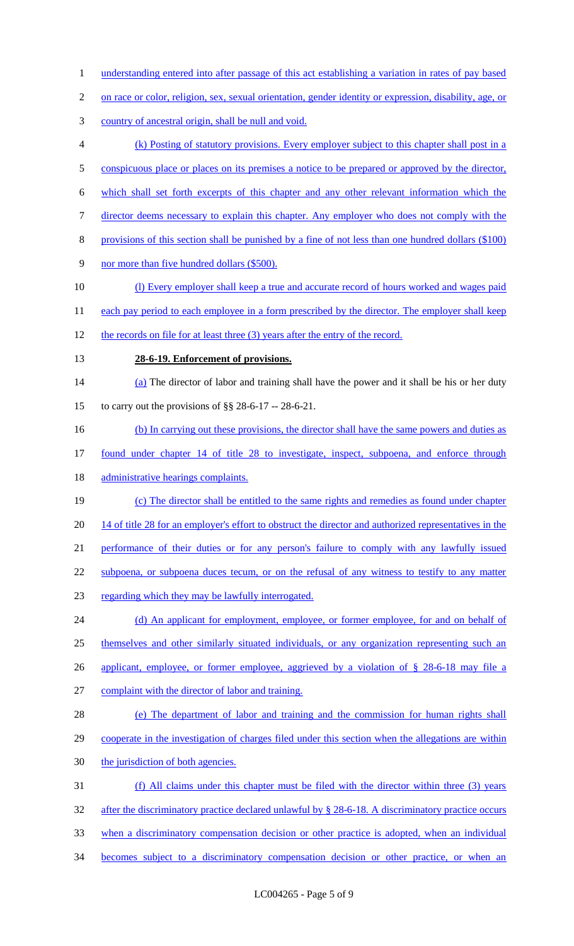- 1 understanding entered into after passage of this act establishing a variation in rates of pay based
- 2 on race or color, religion, sex, sexual orientation, gender identity or expression, disability, age, or
- 3 country of ancestral origin, shall be null and void.
- 4 (k) Posting of statutory provisions. Every employer subject to this chapter shall post in a
- 5 conspicuous place or places on its premises a notice to be prepared or approved by the director,
- 6 which shall set forth excerpts of this chapter and any other relevant information which the
- 7 director deems necessary to explain this chapter. Any employer who does not comply with the
- 8 provisions of this section shall be punished by a fine of not less than one hundred dollars (\$100)
- 9 nor more than five hundred dollars (\$500).
- 10 (l) Every employer shall keep a true and accurate record of hours worked and wages paid
- 11 each pay period to each employee in a form prescribed by the director. The employer shall keep
- 12 the records on file for at least three (3) years after the entry of the record.
- 

#### 13 **28-6-19. Enforcement of provisions.**

- 14 (a) The director of labor and training shall have the power and it shall be his or her duty 15 to carry out the provisions of §§ 28-6-17 -- 28-6-21.
- 16 (b) In carrying out these provisions, the director shall have the same powers and duties as
- 17 found under chapter 14 of title 28 to investigate, inspect, subpoena, and enforce through
- 18 administrative hearings complaints.
- 19 (c) The director shall be entitled to the same rights and remedies as found under chapter 20 14 of title 28 for an employer's effort to obstruct the director and authorized representatives in the 21 performance of their duties or for any person's failure to comply with any lawfully issued 22 subpoena, or subpoena duces tecum, or on the refusal of any witness to testify to any matter 23 regarding which they may be lawfully interrogated.
- 24 (d) An applicant for employment, employee, or former employee, for and on behalf of 25 themselves and other similarly situated individuals, or any organization representing such an 26 applicant, employee, or former employee, aggrieved by a violation of § 28-6-18 may file a
- 27 complaint with the director of labor and training.
- 28 (e) The department of labor and training and the commission for human rights shall 29 cooperate in the investigation of charges filed under this section when the allegations are within 30 the jurisdiction of both agencies.
- 31 (f) All claims under this chapter must be filed with the director within three (3) years 32 after the discriminatory practice declared unlawful by § 28-6-18. A discriminatory practice occurs 33 when a discriminatory compensation decision or other practice is adopted, when an individual 34 becomes subject to a discriminatory compensation decision or other practice, or when an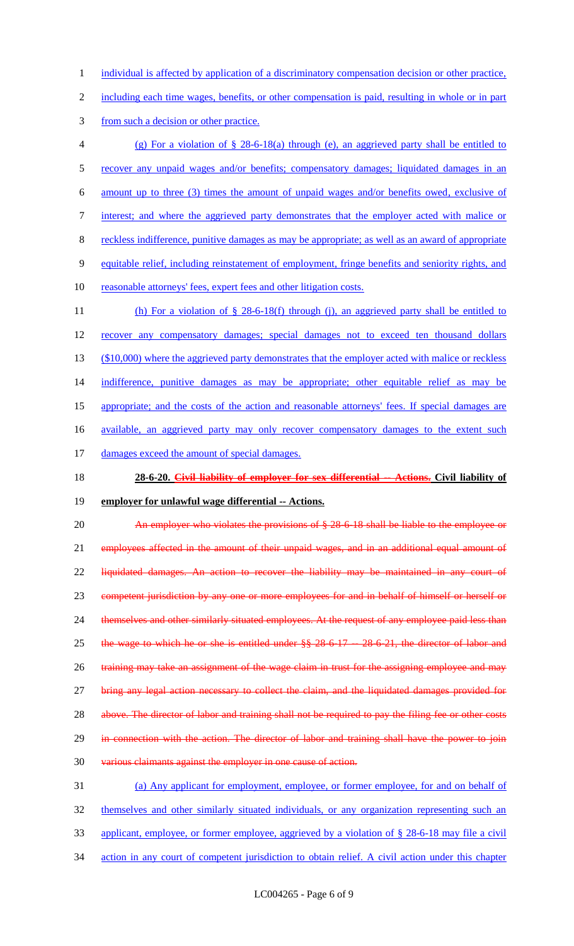1 individual is affected by application of a discriminatory compensation decision or other practice,

2 including each time wages, benefits, or other compensation is paid, resulting in whole or in part

3 from such a decision or other practice.

- 4 (g) For a violation of § 28-6-18(a) through (e), an aggrieved party shall be entitled to 5 recover any unpaid wages and/or benefits; compensatory damages; liquidated damages in an 6 amount up to three (3) times the amount of unpaid wages and/or benefits owed, exclusive of 7 interest; and where the aggrieved party demonstrates that the employer acted with malice or 8 reckless indifference, punitive damages as may be appropriate; as well as an award of appropriate 9 equitable relief, including reinstatement of employment, fringe benefits and seniority rights, and 10 reasonable attorneys' fees, expert fees and other litigation costs. 11 (h) For a violation of § 28-6-18(f) through (j), an aggrieved party shall be entitled to
- 12 recover any compensatory damages; special damages not to exceed ten thousand dollars 13 (\$10,000) where the aggrieved party demonstrates that the employer acted with malice or reckless 14 indifference, punitive damages as may be appropriate; other equitable relief as may be 15 appropriate; and the costs of the action and reasonable attorneys' fees. If special damages are 16 available, an aggrieved party may only recover compensatory damages to the extent such 17 damages exceed the amount of special damages.
- 18 **28-6-20. Civil liability of employer for sex differential -- Actions. Civil liability of**
- 19 **employer for unlawful wage differential -- Actions.**

20 An employer who violates the provisions of § 28-6-18 shall be liable to the employee or 21 employees affected in the amount of their unpaid wages, and in an additional equal amount of 22 liquidated damages. An action to recover the liability may be maintained in any court of 23 competent jurisdiction by any one or more employees for and in behalf of himself or herself or 24 themselves and other similarly situated employees. At the request of any employee paid less than 25 the wage to which he or she is entitled under  $\S$   $\S$   $\S$  28-6-17  $-$  28-6-21, the director of labor and 26 training may take an assignment of the wage claim in trust for the assigning employee and may 27 bring any legal action necessary to collect the claim, and the liquidated damages provided for 28 above. The director of labor and training shall not be required to pay the filing fee or other costs 29 in connection with the action. The director of labor and training shall have the power to join 30 various claimants against the employer in one cause of action. 31 (a) Any applicant for employment, employee, or former employee, for and on behalf of 32 themselves and other similarly situated individuals, or any organization representing such an

- 33 applicant, employee, or former employee, aggrieved by a violation of § 28-6-18 may file a civil
- 34 action in any court of competent jurisdiction to obtain relief. A civil action under this chapter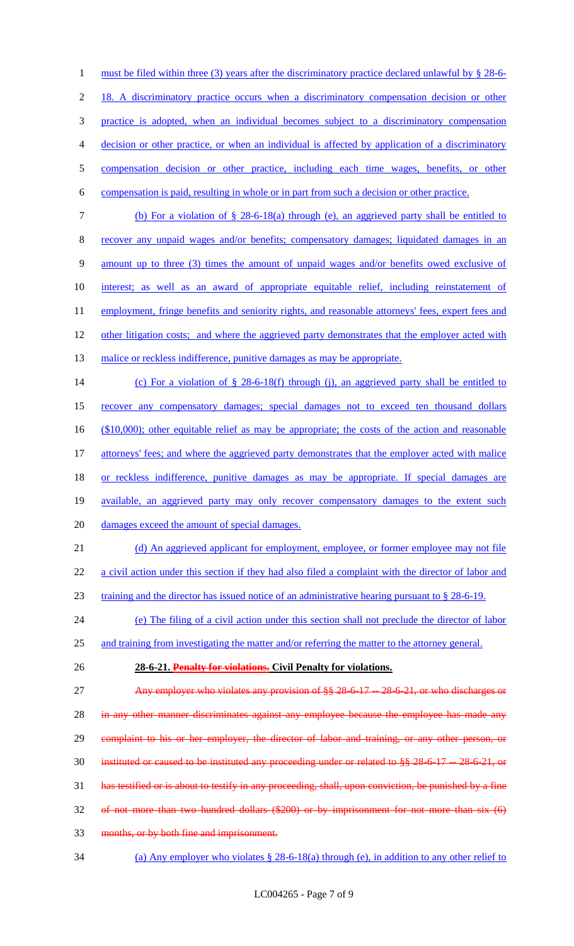1 must be filed within three (3) years after the discriminatory practice declared unlawful by § 28-6- 18. A discriminatory practice occurs when a discriminatory compensation decision or other practice is adopted, when an individual becomes subject to a discriminatory compensation decision or other practice, or when an individual is affected by application of a discriminatory compensation decision or other practice, including each time wages, benefits, or other compensation is paid, resulting in whole or in part from such a decision or other practice. (b) For a violation of § 28-6-18(a) through (e), an aggrieved party shall be entitled to recover any unpaid wages and/or benefits; compensatory damages; liquidated damages in an amount up to three (3) times the amount of unpaid wages and/or benefits owed exclusive of interest; as well as an award of appropriate equitable relief, including reinstatement of 11 employment, fringe benefits and seniority rights, and reasonable attorneys' fees, expert fees and 12 other litigation costs; and where the aggrieved party demonstrates that the employer acted with 13 malice or reckless indifference, punitive damages as may be appropriate. (c) For a violation of § 28-6-18(f) through (j), an aggrieved party shall be entitled to recover any compensatory damages; special damages not to exceed ten thousand dollars 16 (\$10,000); other equitable relief as may be appropriate; the costs of the action and reasonable 17 attorneys' fees; and where the aggrieved party demonstrates that the employer acted with malice 18 or reckless indifference, punitive damages as may be appropriate. If special damages are available, an aggrieved party may only recover compensatory damages to the extent such damages exceed the amount of special damages. 21 (d) An aggrieved applicant for employment, employee, or former employee may not file 22 a civil action under this section if they had also filed a complaint with the director of labor and training and the director has issued notice of an administrative hearing pursuant to § 28-6-19. (e) The filing of a civil action under this section shall not preclude the director of labor and training from investigating the matter and/or referring the matter to the attorney general. **28-6-21. Penalty for violations. Civil Penalty for violations.** 27 Any employer who violates any provision of  $\S$ § 28-6-17 -- 28-6-21, or who discharges or 28 in any other manner discriminates against any employee because the employee has made any 29 complaint to his or her employer, the director of labor and training, or any other person, or 30 instituted or caused to be instituted any proceeding under or related to §§ 28-6-17 -- 28-6-21, or has testified or is about to testify in any proceeding, shall, upon conviction, be punished by a fine of not more than two hundred dollars (\$200) or by imprisonment for not more than six (6) months, or by both fine and imprisonment.

34 (a) Any employer who violates § 28-6-18(a) through (e), in addition to any other relief to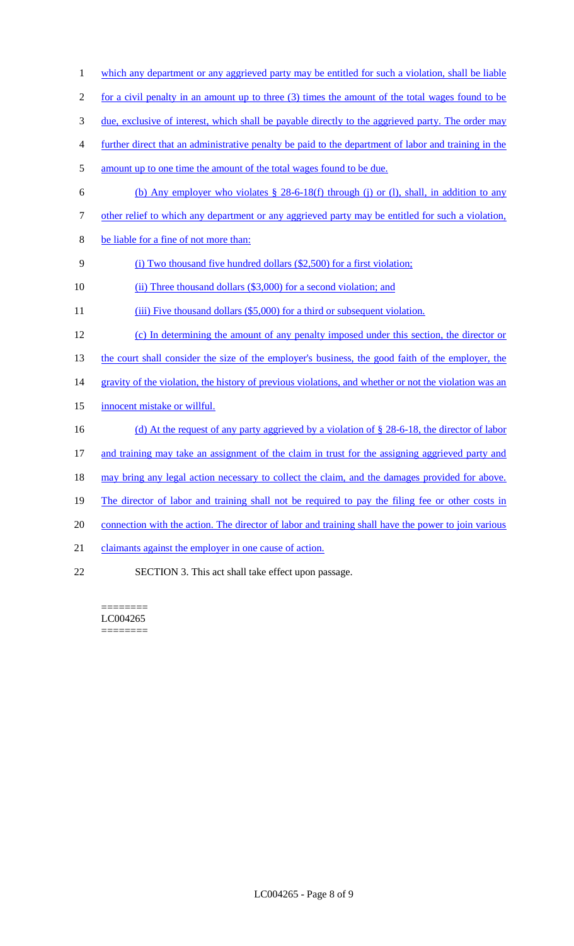- 1 which any department or any aggrieved party may be entitled for such a violation, shall be liable
- 2 for a civil penalty in an amount up to three (3) times the amount of the total wages found to be
- 3 due, exclusive of interest, which shall be payable directly to the aggrieved party. The order may
- 4 further direct that an administrative penalty be paid to the department of labor and training in the
- 5 amount up to one time the amount of the total wages found to be due.
- 6 (b) Any employer who violates § 28-6-18(f) through (j) or (l), shall, in addition to any
- 7 other relief to which any department or any aggrieved party may be entitled for such a violation,
- 8 be liable for a fine of not more than:
- 9 (i) Two thousand five hundred dollars (\$2,500) for a first violation;
- 10 (ii) Three thousand dollars (\$3,000) for a second violation; and
- 11 (iii) Five thousand dollars (\$5,000) for a third or subsequent violation.
- 12 (c) In determining the amount of any penalty imposed under this section, the director or
- 13 the court shall consider the size of the employer's business, the good faith of the employer, the
- 14 gravity of the violation, the history of previous violations, and whether or not the violation was an
- 15 innocent mistake or willful.
- 16 (d) At the request of any party aggrieved by a violation of § 28-6-18, the director of labor
- 17 and training may take an assignment of the claim in trust for the assigning aggrieved party and
- 18 may bring any legal action necessary to collect the claim, and the damages provided for above.
- 19 The director of labor and training shall not be required to pay the filing fee or other costs in
- 20 connection with the action. The director of labor and training shall have the power to join various
- 21 claimants against the employer in one cause of action.
- 22 SECTION 3. This act shall take effect upon passage.

======== LC004265 ========